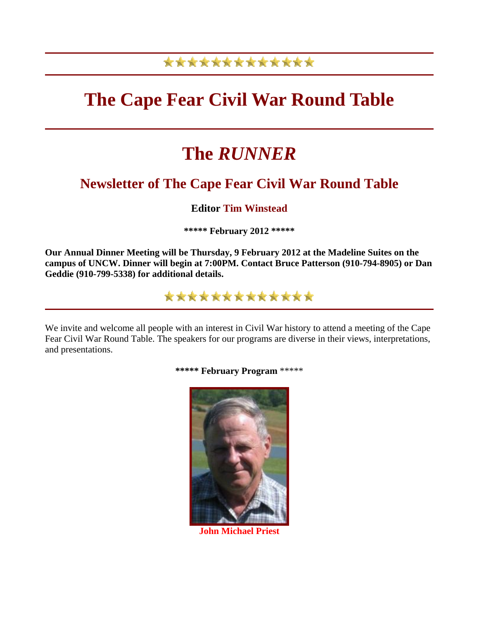# \*\*\*\*\*\*\*\*\*\*\*\*\*

# **The Cape Fear Civil War Round Table**

# **The** *RUNNER*

# **Newsletter of The Cape Fear Civil War Round Table**

# **Editor Tim Winstead**

**\*\*\*\*\* February 2012 \*\*\*\*\***

**Our Annual Dinner Meeting will be Thursday, 9 February 2012 at the Madeline Suites on the campus of UNCW. Dinner will begin at 7:00PM. Contact Bruce Patterson (910-794-8905) or Dan Geddie (910-799-5338) for additional details.**

\*\*\*\*\*\*\*\*\*\*\*\*\*

We invite and welcome all people with an interest in Civil War history to attend a meeting of the Cape Fear Civil War Round Table. The speakers for our programs are diverse in their views, interpretations, and presentations.



**\*\*\*\*\* February Program** \*\*\*\*\*

**John Michael Priest**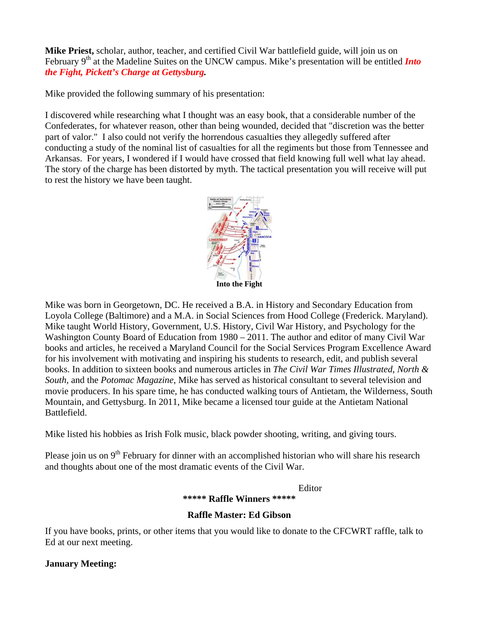**Mike Priest,** scholar, author, teacher, and certified Civil War battlefield guide, will join us on February 9<sup>th</sup> at the Madeline Suites on the UNCW campus. Mike's presentation will be entitled *Into the Fight, Pickett's Charge at Gettysburg.*

Mike provided the following summary of his presentation:

I discovered while researching what I thought was an easy book, that a considerable number of the Confederates, for whatever reason, other than being wounded, decided that "discretion was the better part of valor." I also could not verify the horrendous casualties they allegedly suffered after conducting a study of the nominal list of casualties for all the regiments but those from Tennessee and Arkansas. For years, I wondered if I would have crossed that field knowing full well what lay ahead. The story of the charge has been distorted by myth. The tactical presentation you will receive will put to rest the history we have been taught.



Mike was born in Georgetown, DC. He received a B.A. in History and Secondary Education from Loyola College (Baltimore) and a M.A. in Social Sciences from Hood College (Frederick. Maryland). Mike taught World History, Government, U.S. History, Civil War History, and Psychology for the Washington County Board of Education from 1980 – 2011. The author and editor of many Civil War books and articles, he received a Maryland Council for the Social Services Program Excellence Award for his involvement with motivating and inspiring his students to research, edit, and publish several books. In addition to sixteen books and numerous articles in *The Civil War Times Illustrated, North & South,* and the *Potomac Magazine*, Mike has served as historical consultant to several television and movie producers. In his spare time, he has conducted walking tours of Antietam, the Wilderness, South Mountain, and Gettysburg. In 2011, Mike became a licensed tour guide at the Antietam National Battlefield.

Mike listed his hobbies as Irish Folk music, black powder shooting, writing, and giving tours.

Please join us on  $9<sup>th</sup>$  February for dinner with an accomplished historian who will share his research and thoughts about one of the most dramatic events of the Civil War.

Editor

#### **\*\*\*\*\* Raffle Winners \*\*\*\*\***

# **Raffle Master: Ed Gibson**

If you have books, prints, or other items that you would like to donate to the CFCWRT raffle, talk to Ed at our next meeting.

# **January Meeting:**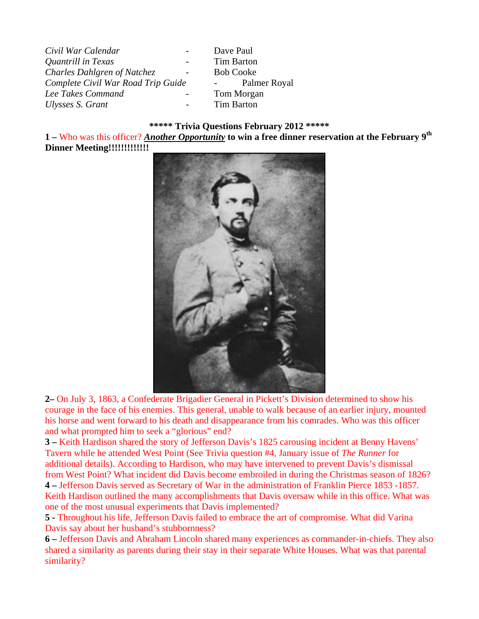| Civil War Calendar                                      | Dave Paul                               |
|---------------------------------------------------------|-----------------------------------------|
| Quantrill in Texas                                      | <b>Tim Barton</b>                       |
| Charles Dahlgren of Natchez<br>$\overline{\phantom{a}}$ | <b>Bob Cooke</b>                        |
| Complete Civil War Road Trip Guide                      | Palmer Royal<br>$\sim 100$ km s $^{-1}$ |
| Lee Takes Command                                       | Tom Morgan                              |
| Ulysses S. Grant<br>$\overline{\phantom{a}}$            | <b>Tim Barton</b>                       |

#### **\*\*\*\*\* Trivia Questions February 2012 \*\*\*\*\***

**1 –** Who was this officer? *Another Opportunity* **to win a free dinner reservation at the February 9th Dinner Meeting!!!!!!!!!!!!!**



**2–** On July 3, 1863, a Confederate Brigadier General in Pickett's Division determined to show his courage in the face of his enemies. This general, unable to walk because of an earlier injury, mounted his horse and went forward to his death and disappearance from his comrades. Who was this officer and what prompted him to seek a "glorious" end?

**3 –** Keith Hardison shared the story of Jefferson Davis's 1825 carousing incident at Benny Havens' Tavern while he attended West Point (See Trivia question #4, January issue of *The Runner* for additional details). According to Hardison, who may have intervened to prevent Davis's dismissal from West Point? What incident did Davis become embroiled in during the Christmas season of 1826? **4 –** Jefferson Davis served as Secretary of War in the administration of Franklin Pierce 1853 -1857. Keith Hardison outlined the many accomplishments that Davis oversaw while in this office. What was one of the most unusual experiments that Davis implemented?

**5 -** Throughout his life, Jefferson Davis failed to embrace the art of compromise. What did Varina Davis say about her husband's stubbornness?

**6 –** Jefferson Davis and Abraham Lincoln shared many experiences as commander-in-chiefs. They also shared a similarity as parents during their stay in their separate White Houses. What was that parental similarity?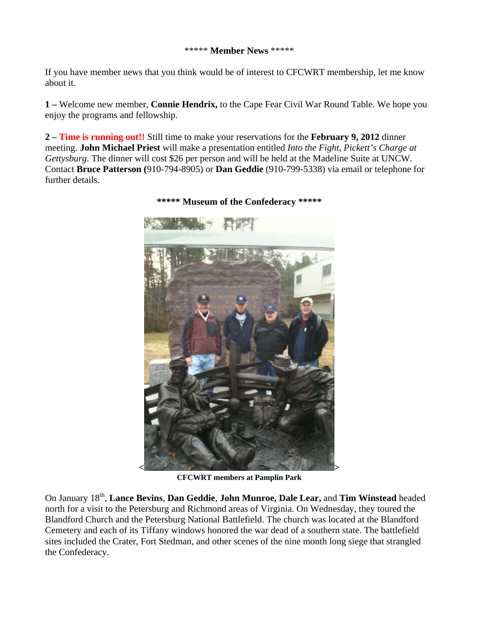#### \*\*\*\*\* **Member News** \*\*\*\*\*

If you have member news that you think would be of interest to CFCWRT membership, let me know about it.

**1 –** Welcome new member, **Connie Hendrix,** to the Cape Fear Civil War Round Table. We hope you enjoy the programs and fellowship.

**2 – Time is running out!!** Still time to make your reservations for the **February 9, 2012** dinner meeting. **John Michael Priest** will make a presentation entitled *Into the Fight, Pickett's Charge at Gettysburg*. The dinner will cost \$26 per person and will be held at the Madeline Suite at UNCW. Contact **Bruce Patterson (**910-794-8905) or **Dan Geddie** (910-799-5338) via email or telephone for further details.



# **\*\*\*\*\* Museum of the Confederacy \*\*\*\*\***

**CFCWRT members at Pamplin Park**

On January 18th, **Lance Bevins**, **Dan Geddie**, **John Munroe, Dale Lear,** and **Tim Winstead** headed north for a visit to the Petersburg and Richmond areas of Virginia. On Wednesday, they toured the Blandford Church and the Petersburg National Battlefield. The church was located at the Blandford Cemetery and each of its Tiffany windows honored the war dead of a southern state. The battlefield sites included the Crater, Fort Stedman, and other scenes of the nine month long siege that strangled the Confederacy.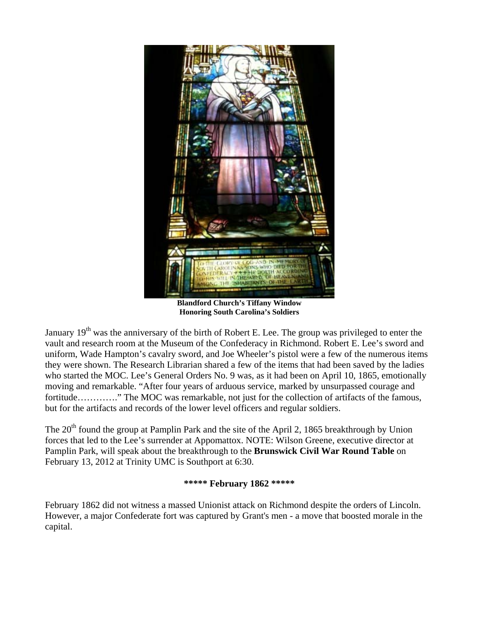

**Blandford Church's Tiffany Window Honoring South Carolina's Soldiers**

January  $19<sup>th</sup>$  was the anniversary of the birth of Robert E. Lee. The group was privileged to enter the vault and research room at the Museum of the Confederacy in Richmond. Robert E. Lee's sword and uniform, Wade Hampton's cavalry sword, and Joe Wheeler's pistol were a few of the numerous items they were shown. The Research Librarian shared a few of the items that had been saved by the ladies who started the MOC. Lee's General Orders No. 9 was, as it had been on April 10, 1865, emotionally moving and remarkable. "After four years of arduous service, marked by unsurpassed courage and fortitude………….." The MOC was remarkable, not just for the collection of artifacts of the famous, but for the artifacts and records of the lower level officers and regular soldiers.

The  $20<sup>th</sup>$  found the group at Pamplin Park and the site of the April 2, 1865 breakthrough by Union forces that led to the Lee's surrender at Appomattox. NOTE: Wilson Greene, executive director at Pamplin Park, will speak about the breakthrough to the **Brunswick Civil War Round Table** on February 13, 2012 at Trinity UMC is Southport at 6:30.

#### **\*\*\*\*\* February 1862 \*\*\*\*\***

February 1862 did not witness a massed Unionist attack on Richmond despite the orders of Lincoln. However, a major Confederate fort was captured by Grant's men - a move that boosted morale in the capital.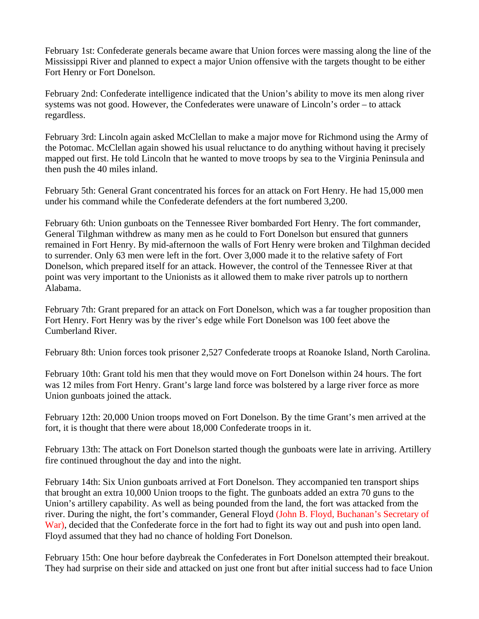February 1st: Confederate generals became aware that Union forces were massing along the line of the Mississippi River and planned to expect a major Union offensive with the targets thought to be either Fort Henry or Fort Donelson.

February 2nd: Confederate intelligence indicated that the Union's ability to move its men along river systems was not good. However, the Confederates were unaware of Lincoln's order – to attack regardless.

February 3rd: Lincoln again asked McClellan to make a major move for Richmond using the Army of the Potomac. McClellan again showed his usual reluctance to do anything without having it precisely mapped out first. He told Lincoln that he wanted to move troops by sea to the Virginia Peninsula and then push the 40 miles inland.

February 5th: General Grant concentrated his forces for an attack on Fort Henry. He had 15,000 men under his command while the Confederate defenders at the fort numbered 3,200.

February 6th: Union gunboats on the Tennessee River bombarded Fort Henry. The fort commander, General Tilghman withdrew as many men as he could to Fort Donelson but ensured that gunners remained in Fort Henry. By mid-afternoon the walls of Fort Henry were broken and Tilghman decided to surrender. Only 63 men were left in the fort. Over 3,000 made it to the relative safety of Fort Donelson, which prepared itself for an attack. However, the control of the Tennessee River at that point was very important to the Unionists as it allowed them to make river patrols up to northern Alabama.

February 7th: Grant prepared for an attack on Fort Donelson, which was a far tougher proposition than Fort Henry. Fort Henry was by the river's edge while Fort Donelson was 100 feet above the Cumberland River.

February 8th: Union forces took prisoner 2,527 Confederate troops at Roanoke Island, North Carolina.

February 10th: Grant told his men that they would move on Fort Donelson within 24 hours. The fort was 12 miles from Fort Henry. Grant's large land force was bolstered by a large river force as more Union gunboats joined the attack.

February 12th: 20,000 Union troops moved on Fort Donelson. By the time Grant's men arrived at the fort, it is thought that there were about 18,000 Confederate troops in it.

February 13th: The attack on Fort Donelson started though the gunboats were late in arriving. Artillery fire continued throughout the day and into the night.

February 14th: Six Union gunboats arrived at Fort Donelson. They accompanied ten transport ships that brought an extra 10,000 Union troops to the fight. The gunboats added an extra 70 guns to the Union's artillery capability. As well as being pounded from the land, the fort was attacked from the river. During the night, the fort's commander, General Floyd (John B. Floyd, Buchanan's Secretary of War), decided that the Confederate force in the fort had to fight its way out and push into open land. Floyd assumed that they had no chance of holding Fort Donelson.

February 15th: One hour before daybreak the Confederates in Fort Donelson attempted their breakout. They had surprise on their side and attacked on just one front but after initial success had to face Union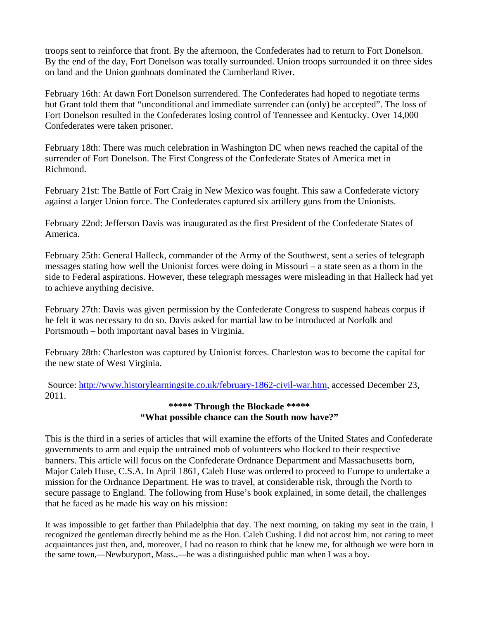troops sent to reinforce that front. By the afternoon, the Confederates had to return to Fort Donelson. By the end of the day, Fort Donelson was totally surrounded. Union troops surrounded it on three sides on land and the Union gunboats dominated the Cumberland River.

February 16th: At dawn Fort Donelson surrendered. The Confederates had hoped to negotiate terms but Grant told them that "unconditional and immediate surrender can (only) be accepted". The loss of Fort Donelson resulted in the Confederates losing control of Tennessee and Kentucky. Over 14,000 Confederates were taken prisoner.

February 18th: There was much celebration in Washington DC when news reached the capital of the surrender of Fort Donelson. The First Congress of the Confederate States of America met in Richmond.

February 21st: The Battle of Fort Craig in New Mexico was fought. This saw a Confederate victory against a larger Union force. The Confederates captured six artillery guns from the Unionists.

February 22nd: Jefferson Davis was inaugurated as the first President of the Confederate States of America.

February 25th: General Halleck, commander of the Army of the Southwest, sent a series of telegraph messages stating how well the Unionist forces were doing in Missouri – a state seen as a thorn in the side to Federal aspirations. However, these telegraph messages were misleading in that Halleck had yet to achieve anything decisive.

February 27th: Davis was given permission by the Confederate Congress to suspend habeas corpus if he felt it was necessary to do so. Davis asked for martial law to be introduced at Norfolk and Portsmouth – both important naval bases in Virginia.

February 28th: Charleston was captured by Unionist forces. Charleston was to become the capital for the new state of West Virginia.

 Source: <http://www.historylearningsite.co.uk/february-1862-civil-war.htm>, accessed December 23, 2011.

# **\*\*\*\*\* Through the Blockade \*\*\*\*\* "What possible chance can the South now have?"**

This is the third in a series of articles that will examine the efforts of the United States and Confederate governments to arm and equip the untrained mob of volunteers who flocked to their respective banners. This article will focus on the Confederate Ordnance Department and Massachusetts born, Major Caleb Huse, C.S.A. In April 1861, Caleb Huse was ordered to proceed to Europe to undertake a mission for the Ordnance Department. He was to travel, at considerable risk, through the North to secure passage to England. The following from Huse's book explained, in some detail, the challenges that he faced as he made his way on his mission:

It was impossible to get farther than Philadelphia that day. The next morning, on taking my seat in the train, I recognized the gentleman directly behind me as the Hon. Caleb Cushing. I did not accost him, not caring to meet acquaintances just then, and, moreover, I had no reason to think that he knew me, for although we were born in the same town,—Newburyport, Mass.,—he was a distinguished public man when I was a boy.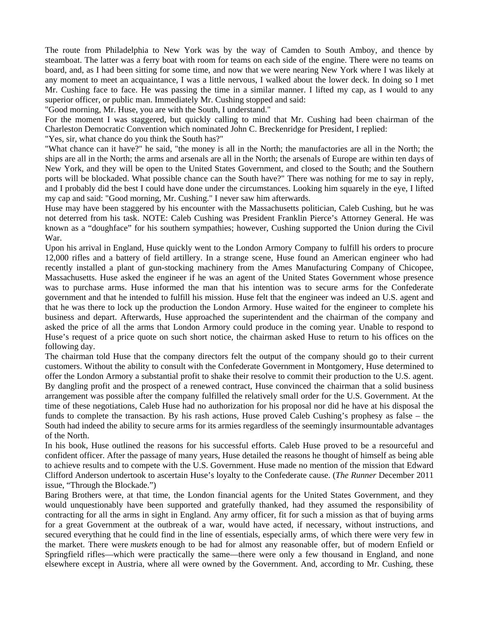The route from Philadelphia to New York was by the way of Camden to South Amboy, and thence by steamboat. The latter was a ferry boat with room for teams on each side of the engine. There were no teams on board, and, as I had been sitting for some time, and now that we were nearing New York where I was likely at any moment to meet an acquaintance, I was a little nervous, I walked about the lower deck. In doing so I met Mr. Cushing face to face. He was passing the time in a similar manner. I lifted my cap, as I would to any superior officer, or public man. Immediately Mr. Cushing stopped and said:

"Good morning, Mr. Huse, you are with the South, I understand."

For the moment I was staggered, but quickly calling to mind that Mr. Cushing had been chairman of the Charleston Democratic Convention which nominated John C. Breckenridge for President, I replied:

"Yes, sir, what chance do you think the South has?"

"What chance can it have?" he said, "the money is all in the North; the manufactories are all in the North; the ships are all in the North; the arms and arsenals are all in the North; the arsenals of Europe are within ten days of New York, and they will be open to the United States Government, and closed to the South; and the Southern ports will be blockaded. What possible chance can the South have?" There was nothing for me to say in reply, and I probably did the best I could have done under the circumstances. Looking him squarely in the eye, I lifted my cap and said: "Good morning, Mr. Cushing." I never saw him afterwards.

Huse may have been staggered by his encounter with the Massachusetts politician, Caleb Cushing, but he was not deterred from his task. NOTE: Caleb Cushing was President Franklin Pierce's Attorney General. He was known as a "doughface" for his southern sympathies; however, Cushing supported the Union during the Civil War.

Upon his arrival in England, Huse quickly went to the London Armory Company to fulfill his orders to procure 12,000 rifles and a battery of field artillery. In a strange scene, Huse found an American engineer who had recently installed a plant of gun-stocking machinery from the Ames Manufacturing Company of Chicopee, Massachusetts. Huse asked the engineer if he was an agent of the United States Government whose presence was to purchase arms. Huse informed the man that his intention was to secure arms for the Confederate government and that he intended to fulfill his mission. Huse felt that the engineer was indeed an U.S. agent and that he was there to lock up the production the London Armory. Huse waited for the engineer to complete his business and depart. Afterwards, Huse approached the superintendent and the chairman of the company and asked the price of all the arms that London Armory could produce in the coming year. Unable to respond to Huse's request of a price quote on such short notice, the chairman asked Huse to return to his offices on the following day.

The chairman told Huse that the company directors felt the output of the company should go to their current customers. Without the ability to consult with the Confederate Government in Montgomery, Huse determined to offer the London Armory a substantial profit to shake their resolve to commit their production to the U.S. agent. By dangling profit and the prospect of a renewed contract, Huse convinced the chairman that a solid business arrangement was possible after the company fulfilled the relatively small order for the U.S. Government. At the time of these negotiations, Caleb Huse had no authorization for his proposal nor did he have at his disposal the funds to complete the transaction. By his rash actions, Huse proved Caleb Cushing's prophesy as false – the South had indeed the ability to secure arms for its armies regardless of the seemingly insurmountable advantages of the North.

In his book, Huse outlined the reasons for his successful efforts. Caleb Huse proved to be a resourceful and confident officer. After the passage of many years, Huse detailed the reasons he thought of himself as being able to achieve results and to compete with the U.S. Government. Huse made no mention of the mission that Edward Clifford Anderson undertook to ascertain Huse's loyalty to the Confederate cause. (*The Runner* December 2011 issue, "Through the Blockade.")

Baring Brothers were, at that time, the London financial agents for the United States Government, and they would unquestionably have been supported and gratefully thanked, had they assumed the responsibility of contracting for all the arms in sight in England. Any army officer, fit for such a mission as that of buying arms for a great Government at the outbreak of a war, would have acted, if necessary, without instructions, and secured everything that he could find in the line of essentials, especially arms, of which there were very few in the market. There were *muskets* enough to be had for almost any reasonable offer, but of modern Enfield or Springfield rifles—which were practically the same—there were only a few thousand in England, and none elsewhere except in Austria, where all were owned by the Government. And, according to Mr. Cushing, these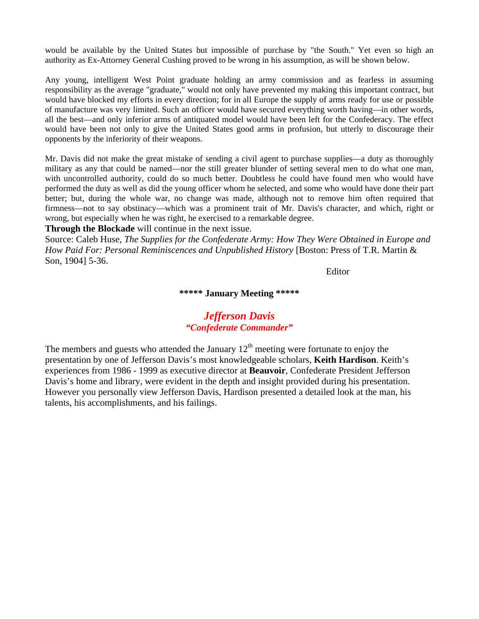would be available by the United States but impossible of purchase by "the South." Yet even so high an authority as Ex-Attorney General Cushing proved to be wrong in his assumption, as will be shown below.

Any young, intelligent West Point graduate holding an army commission and as fearless in assuming responsibility as the average "graduate," would not only have prevented my making this important contract, but would have blocked my efforts in every direction; for in all Europe the supply of arms ready for use or possible of manufacture was very limited. Such an officer would have secured everything worth having—in other words, all the best—and only inferior arms of antiquated model would have been left for the Confederacy. The effect would have been not only to give the United States good arms in profusion, but utterly to discourage their opponents by the inferiority of their weapons.

Mr. Davis did not make the great mistake of sending a civil agent to purchase supplies—a duty as thoroughly military as any that could be named—nor the still greater blunder of setting several men to do what one man, with uncontrolled authority, could do so much better. Doubtless he could have found men who would have performed the duty as well as did the young officer whom he selected, and some who would have done their part better; but, during the whole war, no change was made, although not to remove him often required that firmness—not to say obstinacy—which was a prominent trait of Mr. Davis's character, and which, right or wrong, but especially when he was right, he exercised to a remarkable degree.

**Through the Blockade** will continue in the next issue.

Source: Caleb Huse, *The Supplies for the Confederate Army: How They Were Obtained in Europe and How Paid For: Personal Reminiscences and Unpublished History* [Boston: Press of T.R. Martin & Son, 1904] 5-36.

Editor

#### **\*\*\*\*\* January Meeting \*\*\*\*\***

# *Jefferson Davis "Confederate Commander"*

The members and guests who attended the January  $12<sup>th</sup>$  meeting were fortunate to enjoy the presentation by one of Jefferson Davis's most knowledgeable scholars, **Keith Hardison**. Keith's experiences from 1986 - 1999 as executive director at **Beauvoir**, Confederate President Jefferson Davis's home and library, were evident in the depth and insight provided during his presentation. However you personally view Jefferson Davis, Hardison presented a detailed look at the man, his talents, his accomplishments, and his failings.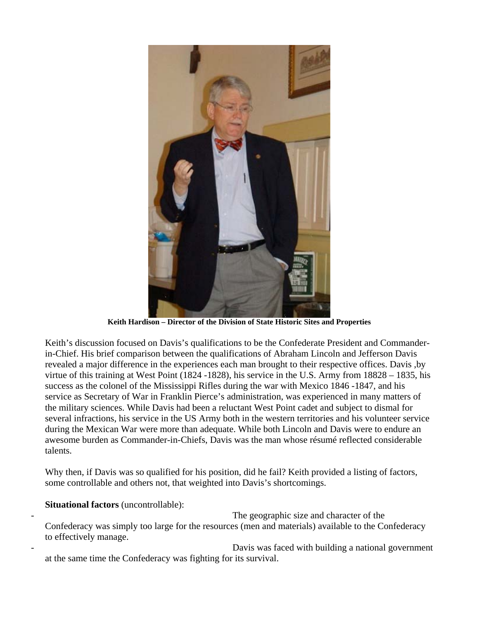

**Keith Hardison – Director of the Division of State Historic Sites and Properties**

Keith's discussion focused on Davis's qualifications to be the Confederate President and Commanderin-Chief. His brief comparison between the qualifications of Abraham Lincoln and Jefferson Davis revealed a major difference in the experiences each man brought to their respective offices. Davis ,by virtue of this training at West Point (1824 -1828), his service in the U.S. Army from 18828 – 1835, his success as the colonel of the Mississippi Rifles during the war with Mexico 1846 -1847, and his service as Secretary of War in Franklin Pierce's administration, was experienced in many matters of the military sciences. While Davis had been a reluctant West Point cadet and subject to dismal for several infractions, his service in the US Army both in the western territories and his volunteer service during the Mexican War were more than adequate. While both Lincoln and Davis were to endure an awesome burden as Commander-in-Chiefs, Davis was the man whose résumé reflected considerable talents.

Why then, if Davis was so qualified for his position, did he fail? Keith provided a listing of factors, some controllable and others not, that weighted into Davis's shortcomings.

# **Situational factors** (uncontrollable):

The geographic size and character of the

Confederacy was simply too large for the resources (men and materials) available to the Confederacy to effectively manage.

Davis was faced with building a national government at the same time the Confederacy was fighting for its survival.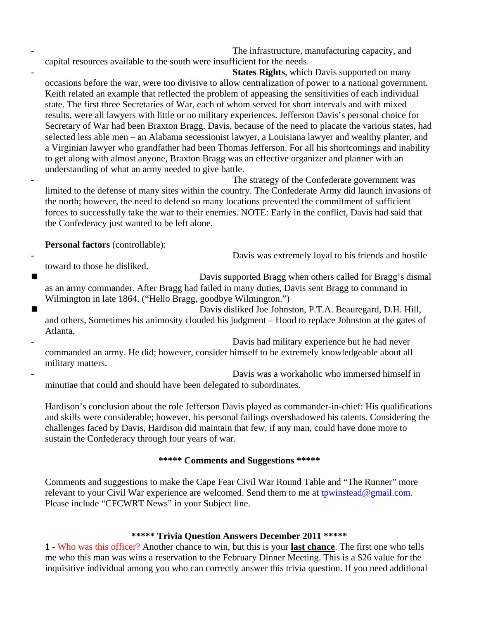The infrastructure, manufacturing capacity, and

capital resources available to the south were insufficient for the needs.

**States Rights**, which Davis supported on many occasions before the war, were too divisive to allow centralization of power to a national government. Keith related an example that reflected the problem of appeasing the sensitivities of each individual state. The first three Secretaries of War, each of whom served for short intervals and with mixed results, were all lawyers with little or no military experiences. Jefferson Davis's personal choice for Secretary of War had been Braxton Bragg. Davis, because of the need to placate the various states, had selected less able men – an Alabama secessionist lawyer, a Louisiana lawyer and wealthy planter, and a Virginian lawyer who grandfather had been Thomas Jefferson. For all his shortcomings and inability to get along with almost anyone, Braxton Bragg was an effective organizer and planner with an understanding of what an army needed to give battle.

The strategy of the Confederate government was limited to the defense of many sites within the country. The Confederate Army did launch invasions of the north; however, the need to defend so many locations prevented the commitment of sufficient forces to successfully take the war to their enemies. NOTE: Early in the conflict, Davis had said that the Confederacy just wanted to be left alone.

**Personal factors** (controllable):

Davis was extremely loyal to his friends and hostile

toward to those he disliked.

 Davis supported Bragg when others called for Bragg's dismal as an army commander. After Bragg had failed in many duties, Davis sent Bragg to command in Wilmington in late 1864. ("Hello Bragg, goodbye Wilmington.")

 Davis disliked Joe Johnston, P.T.A. Beauregard, D.H. Hill, and others, Sometimes his animosity clouded his judgment – Hood to replace Johnston at the gates of Atlanta,

Davis had military experience but he had never commanded an army. He did; however, consider himself to be extremely knowledgeable about all military matters.

Davis was a workaholic who immersed himself in minutiae that could and should have been delegated to subordinates.

Hardison's conclusion about the role Jefferson Davis played as commander-in-chief: His qualifications and skills were considerable; however, his personal failings overshadowed his talents. Considering the challenges faced by Davis, Hardison did maintain that few, if any man, could have done more to sustain the Confederacy through four years of war.

# **\*\*\*\*\* Comments and Suggestions \*\*\*\*\***

Comments and suggestions to make the Cape Fear Civil War Round Table and "The Runner" more relevant to your Civil War experience are welcomed. Send them to me at [tpwinstead@gmail.com.](mailto:tpwinstead@gmail.com) Please include "CFCWRT News" in your Subject line.

# **\*\*\*\*\* Trivia Question Answers December 2011 \*\*\*\*\***

**1 -** Who was this officer? Another chance to win, but this is your **last chance**. The first one who tells me who this man was wins a reservation to the February Dinner Meeting. This is a \$26 value for the inquisitive individual among you who can correctly answer this trivia question. If you need additional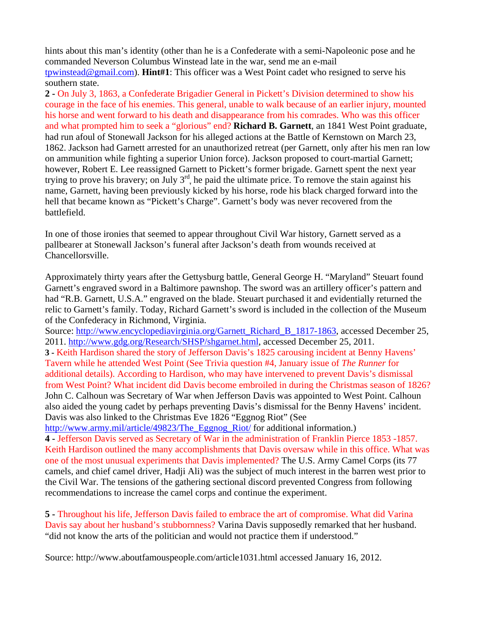hints about this man's identity (other than he is a Confederate with a semi-Napoleonic pose and he commanded Neverson Columbus Winstead late in the war, send me an e-mail [tpwinstead@gmail.com\)](mailto:tpwinstead@gmail.com). **Hint#1**: This officer was a West Point cadet who resigned to serve his southern state.

**2 -** On July 3, 1863, a Confederate Brigadier General in Pickett's Division determined to show his courage in the face of his enemies. This general, unable to walk because of an earlier injury, mounted his horse and went forward to his death and disappearance from his comrades. Who was this officer and what prompted him to seek a "glorious" end? **Richard B. Garnett**, an 1841 West Point graduate, had run afoul of Stonewall Jackson for his alleged actions at the Battle of Kernstown on March 23, 1862. Jackson had Garnett arrested for an unauthorized retreat (per Garnett, only after his men ran low on ammunition while fighting a superior Union force). Jackson proposed to court-martial Garnett; however, Robert E. Lee reassigned Garnett to Pickett's former brigade. Garnett spent the next year trying to prove his bravery; on July  $3<sup>rd</sup>$ , he paid the ultimate price. To remove the stain against his name, Garnett, having been previously kicked by his horse, rode his black charged forward into the hell that became known as "Pickett's Charge". Garnett's body was never recovered from the battlefield.

In one of those ironies that seemed to appear throughout Civil War history, Garnett served as a pallbearer at Stonewall Jackson's funeral after Jackson's death from wounds received at Chancellorsville.

Approximately thirty years after the Gettysburg battle, General George H. "Maryland" Steuart found Garnett's engraved sword in a Baltimore pawnshop. The sword was an artillery officer's pattern and had "R.B. Garnett, U.S.A." engraved on the blade. Steuart purchased it and evidentially returned the relic to Garnett's family. Today, Richard Garnett's sword is included in the collection of the Museum of the Confederacy in Richmond, Virginia.

Source: [http://www.encyclopediavirginia.org/Garnett\\_Richard\\_B\\_1817-1863,](http://www.encyclopediavirginia.org/Garnett_Richard_B_1817-1863) accessed December 25, 2011. [http://www.gdg.org/Research/SHSP/shgarnet.html,](http://www.gdg.org/Research/SHSP/shgarnet.html) accessed December 25, 2011. **3 -** Keith Hardison shared the story of Jefferson Davis's 1825 carousing incident at Benny Havens' Tavern while he attended West Point (See Trivia question #4, January issue of *The Runner* for additional details). According to Hardison, who may have intervened to prevent Davis's dismissal from West Point? What incident did Davis become embroiled in during the Christmas season of 1826? John C. Calhoun was Secretary of War when Jefferson Davis was appointed to West Point. Calhoun also aided the young cadet by perhaps preventing Davis's dismissal for the Benny Havens' incident. Davis was also linked to the Christmas Eve 1826 "Eggnog Riot" (See

[http://www.army.mil/article/49823/The\\_Eggnog\\_Riot/](http://www.army.mil/article/49823/The_Eggnog_Riot/) for additional information.)

**4 -** Jefferson Davis served as Secretary of War in the administration of Franklin Pierce 1853 -1857. Keith Hardison outlined the many accomplishments that Davis oversaw while in this office. What was one of the most unusual experiments that Davis implemented? The U.S. Army Camel Corps (its 77 camels, and chief camel driver, Hadji Ali) was the subject of much interest in the barren west prior to the Civil War. The tensions of the gathering sectional discord prevented Congress from following recommendations to increase the camel corps and continue the experiment.

**5 -** Throughout his life, Jefferson Davis failed to embrace the art of compromise. What did Varina Davis say about her husband's stubbornness? Varina Davis supposedly remarked that her husband. "did not know the arts of the politician and would not practice them if understood."

Source: http://www.aboutfamouspeople.com/article1031.html accessed January 16, 2012.